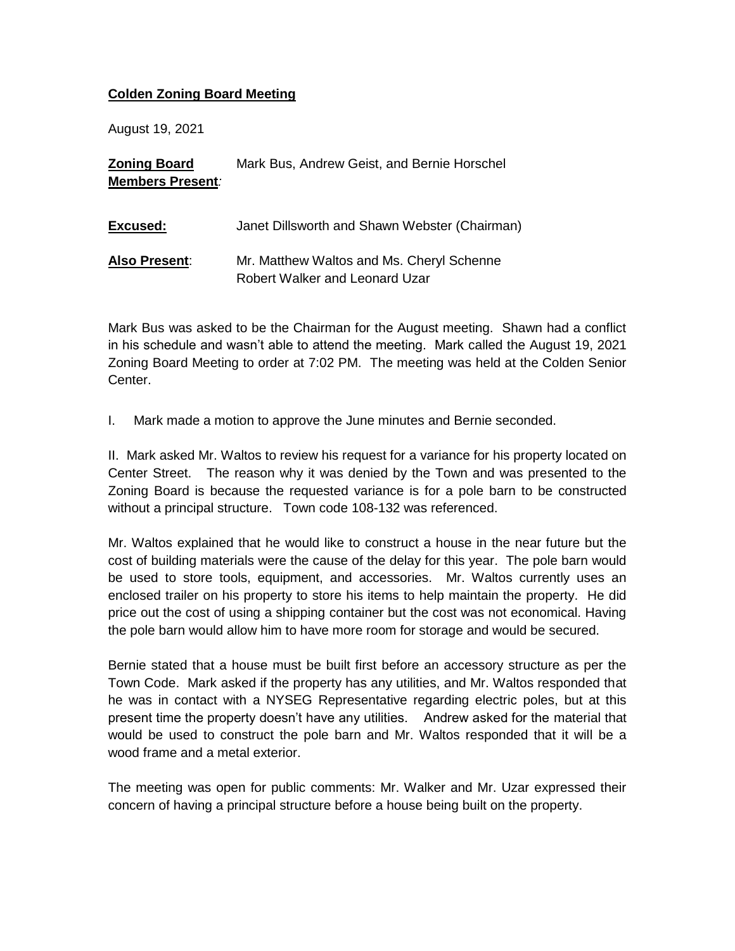## **Colden Zoning Board Meeting**

August 19, 2021

**Zoning Board Members Present***:* Mark Bus, Andrew Geist, and Bernie Horschel **Excused: Also Present**: Janet Dillsworth and Shawn Webster (Chairman) Mr. Matthew Waltos and Ms. Cheryl Schenne Robert Walker and Leonard Uzar

Mark Bus was asked to be the Chairman for the August meeting. Shawn had a conflict in his schedule and wasn't able to attend the meeting. Mark called the August 19, 2021 Zoning Board Meeting to order at 7:02 PM. The meeting was held at the Colden Senior Center.

I. Mark made a motion to approve the June minutes and Bernie seconded.

II. Mark asked Mr. Waltos to review his request for a variance for his property located on Center Street. The reason why it was denied by the Town and was presented to the Zoning Board is because the requested variance is for a pole barn to be constructed without a principal structure. Town code 108-132 was referenced.

Mr. Waltos explained that he would like to construct a house in the near future but the cost of building materials were the cause of the delay for this year. The pole barn would be used to store tools, equipment, and accessories. Mr. Waltos currently uses an enclosed trailer on his property to store his items to help maintain the property. He did price out the cost of using a shipping container but the cost was not economical. Having the pole barn would allow him to have more room for storage and would be secured.

Bernie stated that a house must be built first before an accessory structure as per the Town Code. Mark asked if the property has any utilities, and Mr. Waltos responded that he was in contact with a NYSEG Representative regarding electric poles, but at this present time the property doesn't have any utilities. Andrew asked for the material that would be used to construct the pole barn and Mr. Waltos responded that it will be a wood frame and a metal exterior.

The meeting was open for public comments: Mr. Walker and Mr. Uzar expressed their concern of having a principal structure before a house being built on the property.